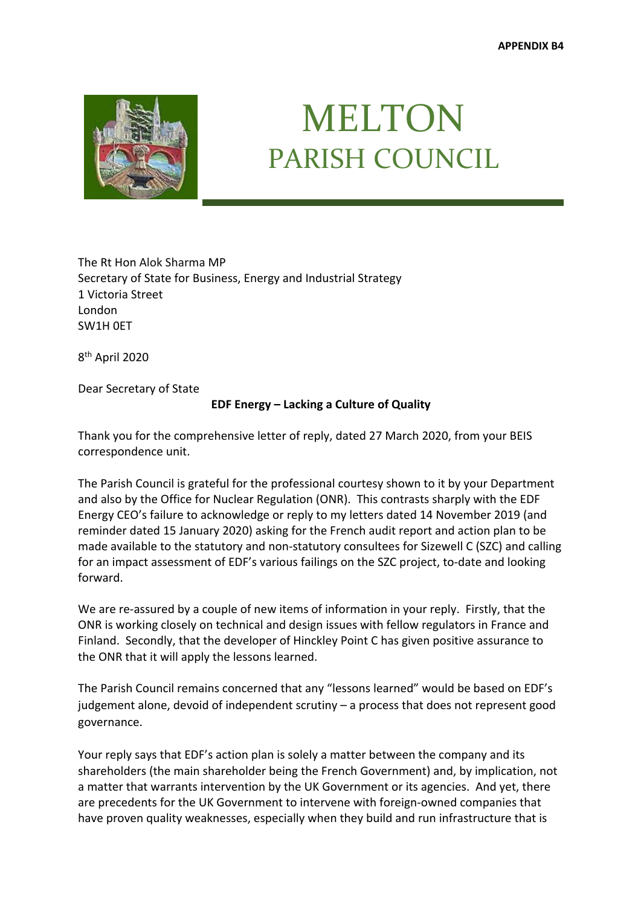

## MELTON PARISH COUNCIL

The Rt Hon Alok Sharma MP Secretary of State for Business, Energy and Industrial Strategy 1 Victoria Street London SW1H 0ET

8th April 2020

Dear Secretary of State

## **EDF Energy – Lacking a Culture of Quality**

Thank you for the comprehensive letter of reply, dated 27 March 2020, from your BEIS correspondence unit.

The Parish Council is grateful for the professional courtesy shown to it by your Department and also by the Office for Nuclear Regulation (ONR). This contrasts sharply with the EDF Energy CEO's failure to acknowledge or reply to my letters dated 14 November 2019 (and reminder dated 15 January 2020) asking for the French audit report and action plan to be made available to the statutory and non-statutory consultees for Sizewell C (SZC) and calling for an impact assessment of EDF's various failings on the SZC project, to-date and looking forward.

We are re-assured by a couple of new items of information in your reply. Firstly, that the ONR is working closely on technical and design issues with fellow regulators in France and Finland. Secondly, that the developer of Hinckley Point C has given positive assurance to the ONR that it will apply the lessons learned.

The Parish Council remains concerned that any "lessons learned" would be based on EDF's judgement alone, devoid of independent scrutiny – a process that does not represent good governance.

Your reply says that EDF's action plan is solely a matter between the company and its shareholders (the main shareholder being the French Government) and, by implication, not a matter that warrants intervention by the UK Government or its agencies. And yet, there are precedents for the UK Government to intervene with foreign-owned companies that have proven quality weaknesses, especially when they build and run infrastructure that is